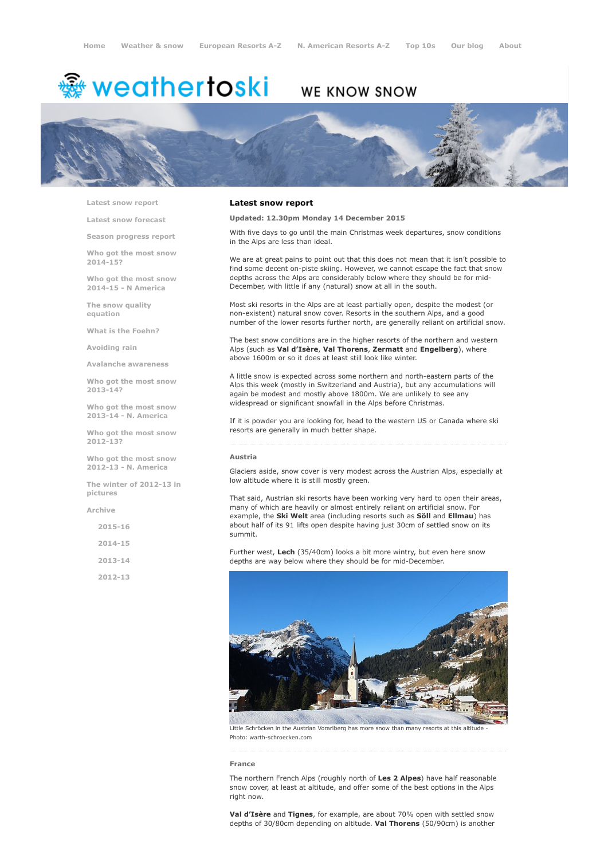# <sup>鑫</sup> weathertoski

## WE KNOW SNOW



Latest snow [report](http://www.weathertoski.co.uk/weather-snow/latest-snow-report/)

Latest snow [forecast](http://www.weathertoski.co.uk/weather-snow/latest-snow-forecast/)

Season [progress](http://www.weathertoski.co.uk/weather-snow/season-progress-report/) report

Who got the most snow 2014-15?

Who got the most snow 2014-15 - N America

The snow quality [equation](http://www.weathertoski.co.uk/weather-snow/the-snow-quality-equation/)

What is the [Foehn?](http://www.weathertoski.co.uk/weather-snow/what-is-the-foehn/)

[Avoiding](http://www.weathertoski.co.uk/weather-snow/avoiding-rain/) rain

Avalanche [awareness](http://www.weathertoski.co.uk/weather-snow/avalanche-awareness/)

Who got the most snow 2013-14?

Who got the most snow 2013-14 - N. America

Who got the most snow 2012-13?

Who got the most snow 2012-13 - N. America

The winter of 2012-13 in pictures

[Archive](http://www.weathertoski.co.uk/weather-snow/archive/)

2015-16

2014-15

2013-14

2012-13

#### Latest snow report

#### Updated: 12.30pm Monday 14 December 2015

With five days to go until the main Christmas week departures, snow conditions in the Alps are less than ideal.

We are at great pains to point out that this does not mean that it isn't possible to find some decent on-piste skiing. However, we cannot escape the fact that snow depths across the Alps are considerably below where they should be for mid-December, with little if any (natural) snow at all in the south.

Most ski resorts in the Alps are at least partially open, despite the modest (or nonexistent) natural snow cover. Resorts in the southern Alps, and a good number of the lower resorts further north, are generally reliant on artificial snow.

The best snow conditions are in the higher resorts of the northern and western Alps (such as Val d'Isère, Val Thorens, Zermatt and Engelberg), where above 1600m or so it does at least still look like winter.

A little snow is expected across some northern and north-eastern parts of the Alps this week (mostly in Switzerland and Austria), but any accumulations will again be modest and mostly above 1800m. We are unlikely to see any widespread or significant snowfall in the Alps before Christmas.

If it is powder you are looking for, head to the western US or Canada where ski resorts are generally in much better shape.

#### Austria

Glaciers aside, snow cover is very modest across the Austrian Alps, especially at low altitude where it is still mostly green.

That said, Austrian ski resorts have been working very hard to open their areas, many of which are heavily or almost entirely reliant on artificial snow. For example, the Ski Welt area (including resorts such as Söll and Ellmau) has about half of its 91 lifts open despite having just 30cm of settled snow on its summit.

Further west, Lech (35/40cm) looks a bit more wintry, but even here snow depths are way below where they should be for mid-December.



Little Schröcken in the Austrian Vorarlberg has more snow than many resorts at this altitude Photo: warth-schroecken.com

#### France

The northern French Alps (roughly north of Les 2 Alpes) have half reasonable snow cover, at least at altitude, and offer some of the best options in the Alps right now.

Val d'Isère and Tignes, for example, are about 70% open with settled snow depths of 30/80cm depending on altitude. Val Thorens (50/90cm) is another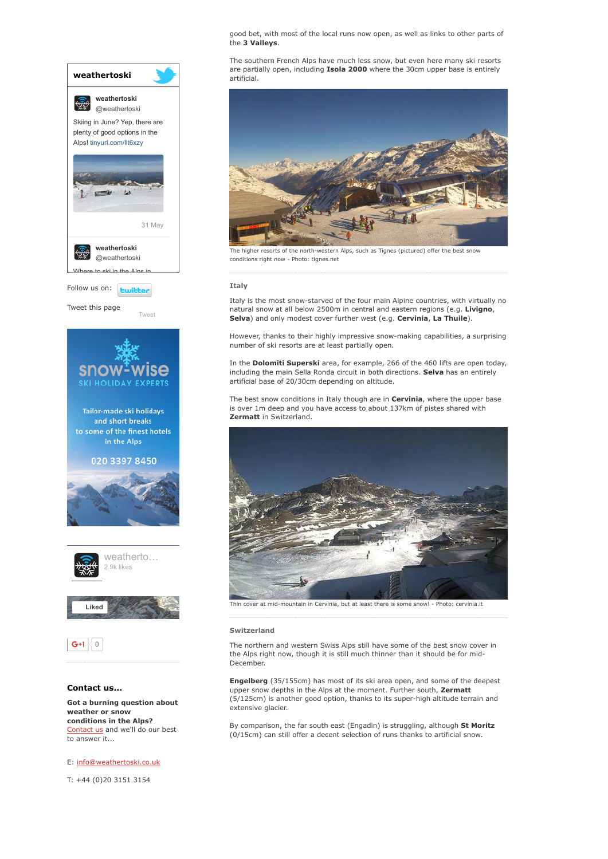good bet, with most of the local runs now open, as well as links to other parts of the 3 Valleys.

The southern French Alps have much less snow, but even here many ski resorts are partially open, including Isola 2000 where the 30cm upper base is entirely artificial.



The higher resorts of the north-western Alps, such as Tignes (pictured) offer the best snow conditions right now - Photo: tignes.net

#### Italy

Italy is the most snow-starved of the four main Alpine countries, with virtually no natural snow at all below 2500m in central and eastern regions (e.g. Livigno, Selva) and only modest cover further west (e.g. Cervinia, La Thuile).

However, thanks to their highly impressive snowmaking capabilities, a surprising number of ski resorts are at least partially open.

In the Dolomiti Superski area, for example, 266 of the 460 lifts are open today, including the main Sella Ronda circuit in both directions. Selva has an entirely artificial base of 20/30cm depending on altitude.

The best snow conditions in Italy though are in Cervinia, where the upper base is over 1m deep and you have access to about 137km of pistes shared with Zermatt in Switzerland.



Thin cover at mid-mountain in Cervinia, but at least there is some snow! - Photo: cervinia.it

#### Switzerland

The northern and western Swiss Alps still have some of the best snow cover in the Alps right now, though it is still much thinner than it should be for mid-December.

Engelberg (35/155cm) has most of its ski area open, and some of the deepest upper snow depths in the Alps at the moment. Further south, Zermatt (5/125cm) is another good option, thanks to its superhigh altitude terrain and extensive glacier.

By comparison, the far south east (Engadin) is struggling, although St Moritz (0/15cm) can still offer a decent selection of runs thanks to artificial snow.

weather or snow conditions in the Alps? [Contact](http://www.weathertoski.co.uk/about-1/contact-us/) us and we'll do our best to answer it...

Got a burning question about

### E: [info@weathertoski.co.uk](mailto:fraser@weathertoski.co.uk)

T: +44 (0)20 3151 3154

Follow us on: **Ewitter** Tweet this page [Tweet](https://twitter.com/intent/tweet?original_referer=http%3A%2F%2Fwww.weathertoski.co.uk%2Fweather-snow%2Farchive%2Fsnow-report-14-12-2015%2F&ref_src=twsrc%5Etfw&text=Weather%20to%20ski%20-%20Snow%20report%20-%2014%20December%202015&tw_p=tweetbutton&url=http%3A%2F%2Fwww.weathertoski.co.uk%2Fweather-snow%2Farchive%2Fsnow-report-14-12-2015%2F) Where to ski in the Alps in weathertoski [@weathertoski](https://twitter.com/weathertoski)

31 [May](https://twitter.com/weathertoski/status/737615281774690304)

weathertoski

燃

Skiing in June? Yep, there are plenty of good options in the Alps! [tinyurl.com/llt6xzy](https://t.co/PJOdgBIbEZ)

 $\frac{1}{2}$ 

weathertoski [@weathertoski](https://twitter.com/weathertoski)



and short breaks to some of the finest hotels in the Alps

020 3397 8450







#### Contact us...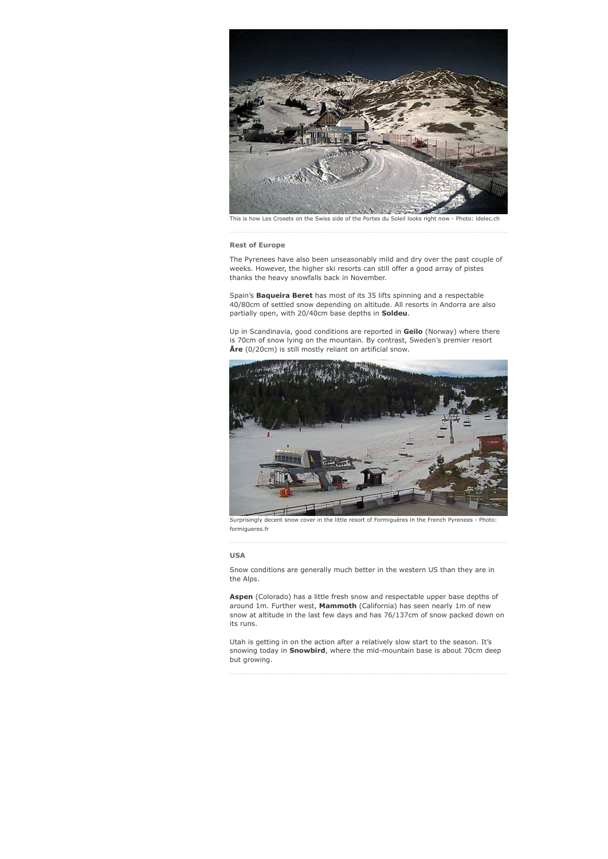

This is how Les Crosets on the Swiss side of the Portes du Soleil looks right now - Photo: idelec.ch

#### Rest of Europe

The Pyrenees have also been unseasonably mild and dry over the past couple of weeks. However, the higher ski resorts can still offer a good array of pistes thanks the heavy snowfalls back in November.

Spain's **Baqueira Beret** has most of its 35 lifts spinning and a respectable 40/80cm of settled snow depending on altitude. All resorts in Andorra are also partially open, with 20/40cm base depths in **Soldeu**.

Up in Scandinavia, good conditions are reported in Geilo (Norway) where there is 70cm of snow lying on the mountain. By contrast, Sweden's premier resort Åre (0/20cm) is still mostly reliant on artificial snow.

![](_page_2_Picture_6.jpeg)

Surprisingly decent snow cover in the little resort of Formiguères in the French Pyrenees - Photo: formigueres.fr

#### USA

Snow conditions are generally much better in the western US than they are in the Alps.

Aspen (Colorado) has a little fresh snow and respectable upper base depths of around 1m. Further west, Mammoth (California) has seen nearly 1m of new snow at altitude in the last few days and has 76/137cm of snow packed down on its runs.

Utah is getting in on the action after a relatively slow start to the season. It's snowing today in **Snowbird**, where the mid-mountain base is about 70cm deep but growing.